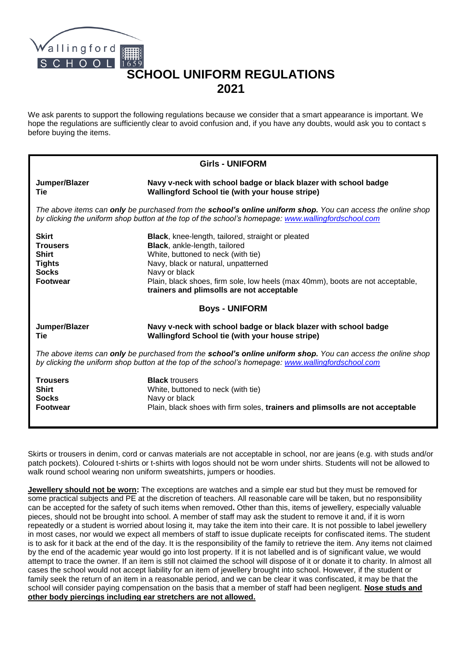

## **SCHOOL UNIFORM REGULATIONS 2021**

We ask parents to support the following regulations because we consider that a smart appearance is important. We hope the regulations are sufficiently clear to avoid confusion and, if you have any doubts, would ask you to contact s before buying the items.

| <b>Girls - UNIFORM</b>                                                                                                                                                                                            |                                                                                                                                                                                                                                                                                                                 |
|-------------------------------------------------------------------------------------------------------------------------------------------------------------------------------------------------------------------|-----------------------------------------------------------------------------------------------------------------------------------------------------------------------------------------------------------------------------------------------------------------------------------------------------------------|
| Jumper/Blazer<br>Tie                                                                                                                                                                                              | Navy v-neck with school badge or black blazer with school badge<br>Wallingford School tie (with your house stripe)                                                                                                                                                                                              |
| The above items can only be purchased from the school's online uniform shop. You can access the online shop<br>by clicking the uniform shop button at the top of the school's homepage: www.wallingfordschool.com |                                                                                                                                                                                                                                                                                                                 |
| <b>Skirt</b><br><b>Trousers</b><br><b>Shirt</b><br><b>Tights</b><br><b>Socks</b><br><b>Footwear</b>                                                                                                               | Black, knee-length, tailored, straight or pleated<br>Black, ankle-length, tailored<br>White, buttoned to neck (with tie)<br>Navy, black or natural, unpatterned<br>Navy or black<br>Plain, black shoes, firm sole, low heels (max 40mm), boots are not acceptable,<br>trainers and plimsolls are not acceptable |
| <b>Boys - UNIFORM</b>                                                                                                                                                                                             |                                                                                                                                                                                                                                                                                                                 |
| Jumper/Blazer<br>Tie                                                                                                                                                                                              | Navy v-neck with school badge or black blazer with school badge<br>Wallingford School tie (with your house stripe)                                                                                                                                                                                              |
| The above items can only be purchased from the school's online uniform shop. You can access the online shop<br>by clicking the uniform shop button at the top of the school's homepage: www.wallingfordschool.com |                                                                                                                                                                                                                                                                                                                 |
| <b>Trousers</b><br><b>Shirt</b><br><b>Socks</b><br><b>Footwear</b>                                                                                                                                                | <b>Black trousers</b><br>White, buttoned to neck (with tie)<br>Navy or black<br>Plain, black shoes with firm soles, trainers and plimsolls are not acceptable                                                                                                                                                   |

Skirts or trousers in denim, cord or canvas materials are not acceptable in school, nor are jeans (e.g. with studs and/or patch pockets). Coloured t-shirts or t-shirts with logos should not be worn under shirts. Students will not be allowed to walk round school wearing non uniform sweatshirts, jumpers or hoodies.

**Jewellery should not be worn:** The exceptions are watches and a simple ear stud but they must be removed for some practical subjects and PE at the discretion of teachers. All reasonable care will be taken, but no responsibility can be accepted for the safety of such items when removed**.** Other than this, items of jewellery, especially valuable pieces, should not be brought into school. A member of staff may ask the student to remove it and, if it is worn repeatedly or a student is worried about losing it, may take the item into their care. It is not possible to label jewellery in most cases, nor would we expect all members of staff to issue duplicate receipts for confiscated items. The student is to ask for it back at the end of the day. It is the responsibility of the family to retrieve the item. Any items not claimed by the end of the academic year would go into lost property. If it is not labelled and is of significant value, we would attempt to trace the owner. If an item is still not claimed the school will dispose of it or donate it to charity. In almost all cases the school would not accept liability for an item of jewellery brought into school. However, if the student or family seek the return of an item in a reasonable period, and we can be clear it was confiscated, it may be that the school will consider paying compensation on the basis that a member of staff had been negligent. **Nose studs and other body piercings including ear stretchers are not allowed.**